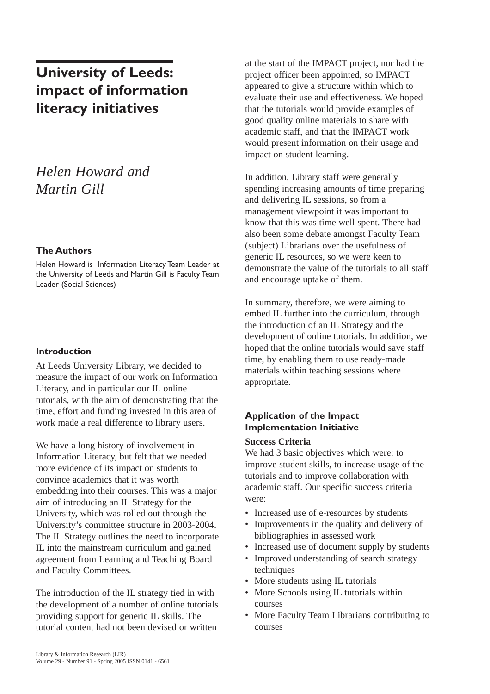# **University of Leeds: impact of information literacy initiatives**

# *Helen Howard and Martin Gill*

### **The Authors**

Helen Howard is Information Literacy Team Leader at the University of Leeds and Martin Gill is Faculty Team Leader (Social Sciences)

### **Introduction**

At Leeds University Library, we decided to measure the impact of our work on Information Literacy, and in particular our IL online tutorials, with the aim of demonstrating that the time, effort and funding invested in this area of work made a real difference to library users.

We have a long history of involvement in Information Literacy, but felt that we needed more evidence of its impact on students to convince academics that it was worth embedding into their courses. This was a major aim of introducing an IL Strategy for the University, which was rolled out through the University's committee structure in 2003-2004. The IL Strategy outlines the need to incorporate IL into the mainstream curriculum and gained agreement from Learning and Teaching Board and Faculty Committees.

The introduction of the IL strategy tied in with the development of a number of online tutorials providing support for generic IL skills. The tutorial content had not been devised or written

at the start of the IMPACT project, nor had the project officer been appointed, so IMPACT appeared to give a structure within which to evaluate their use and effectiveness. We hoped that the tutorials would provide examples of good quality online materials to share with academic staff, and that the IMPACT work would present information on their usage and impact on student learning.

In addition, Library staff were generally spending increasing amounts of time preparing and delivering IL sessions, so from a management viewpoint it was important to know that this was time well spent. There had also been some debate amongst Faculty Team (subject) Librarians over the usefulness of generic IL resources, so we were keen to demonstrate the value of the tutorials to all staff and encourage uptake of them.

In summary, therefore, we were aiming to embed IL further into the curriculum, through the introduction of an IL Strategy and the development of online tutorials. In addition, we hoped that the online tutorials would save staff time, by enabling them to use ready-made materials within teaching sessions where appropriate.

## **Application of the Impact Implementation Initiative**

#### **Success Criteria**

We had 3 basic objectives which were: to improve student skills, to increase usage of the tutorials and to improve collaboration with academic staff. Our specific success criteria were:

- Increased use of e-resources by students
- Improvements in the quality and delivery of bibliographies in assessed work
- Increased use of document supply by students
- Improved understanding of search strategy techniques
- More students using IL tutorials
- More Schools using IL tutorials within courses
- More Faculty Team Librarians contributing to courses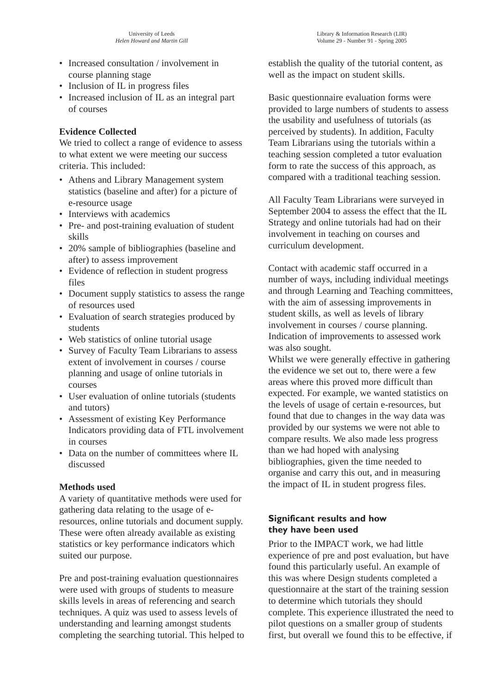- Increased consultation / involvement in course planning stage
- Inclusion of IL in progress files
- Increased inclusion of IL as an integral part of courses

## **Evidence Collected**

We tried to collect a range of evidence to assess to what extent we were meeting our success criteria. This included:

- Athens and Library Management system statistics (baseline and after) for a picture of e-resource usage
- Interviews with academics
- Pre- and post-training evaluation of student skills
- 20% sample of bibliographies (baseline and after) to assess improvement
- Evidence of reflection in student progress files
- Document supply statistics to assess the range of resources used
- Evaluation of search strategies produced by students
- Web statistics of online tutorial usage
- Survey of Faculty Team Librarians to assess extent of involvement in courses / course planning and usage of online tutorials in courses
- User evaluation of online tutorials (students and tutors)
- Assessment of existing Key Performance Indicators providing data of FTL involvement in courses
- Data on the number of committees where IL discussed

## **Methods used**

A variety of quantitative methods were used for gathering data relating to the usage of eresources, online tutorials and document supply. These were often already available as existing statistics or key performance indicators which suited our purpose.

Pre and post-training evaluation questionnaires were used with groups of students to measure skills levels in areas of referencing and search techniques. A quiz was used to assess levels of understanding and learning amongst students completing the searching tutorial. This helped to establish the quality of the tutorial content, as well as the impact on student skills.

Basic questionnaire evaluation forms were provided to large numbers of students to assess the usability and usefulness of tutorials (as perceived by students). In addition, Faculty Team Librarians using the tutorials within a teaching session completed a tutor evaluation form to rate the success of this approach, as compared with a traditional teaching session.

All Faculty Team Librarians were surveyed in September 2004 to assess the effect that the IL Strategy and online tutorials had had on their involvement in teaching on courses and curriculum development.

Contact with academic staff occurred in a number of ways, including individual meetings and through Learning and Teaching committees, with the aim of assessing improvements in student skills, as well as levels of library involvement in courses / course planning. Indication of improvements to assessed work was also sought.

Whilst we were generally effective in gathering the evidence we set out to, there were a few areas where this proved more difficult than expected. For example, we wanted statistics on the levels of usage of certain e-resources, but found that due to changes in the way data was provided by our systems we were not able to compare results. We also made less progress than we had hoped with analysing bibliographies, given the time needed to organise and carry this out, and in measuring the impact of IL in student progress files.

## **Significant results and how they have been used**

Prior to the IMPACT work, we had little experience of pre and post evaluation, but have found this particularly useful. An example of this was where Design students completed a questionnaire at the start of the training session to determine which tutorials they should complete. This experience illustrated the need to pilot questions on a smaller group of students first, but overall we found this to be effective, if